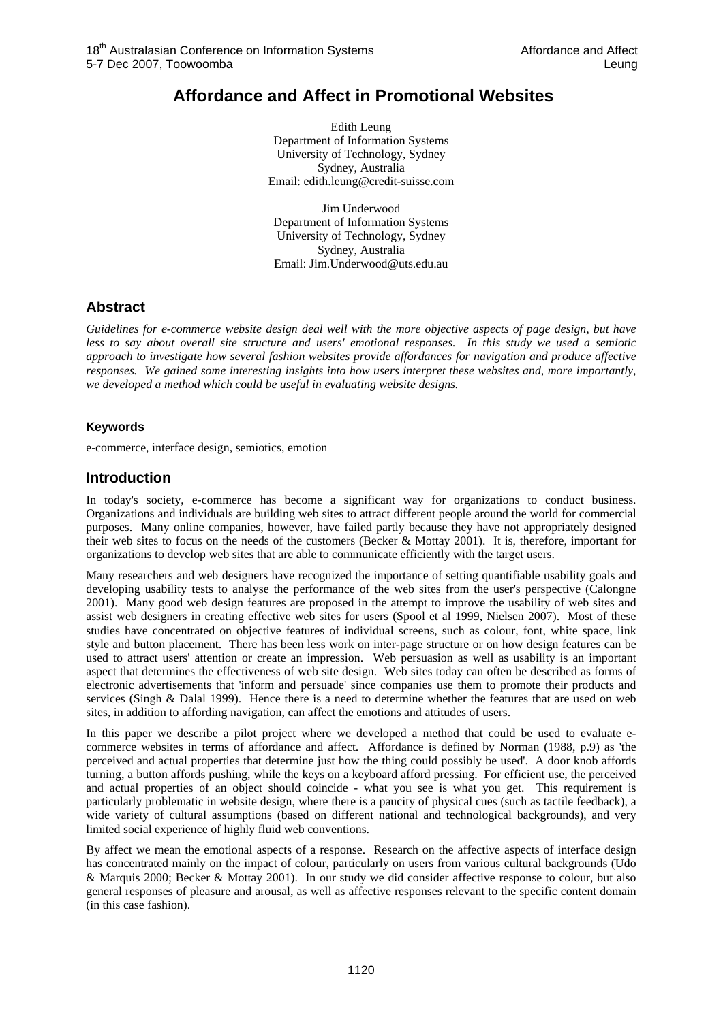# **Affordance and Affect in Promotional Websites**

Edith Leung Department of Information Systems University of Technology, Sydney Sydney, Australia Email: edith.leung@credit-suisse.com

Jim Underwood Department of Information Systems University of Technology, Sydney Sydney, Australia Email: Jim.Underwood@uts.edu.au

## **Abstract**

*Guidelines for e-commerce website design deal well with the more objective aspects of page design, but have less to say about overall site structure and users' emotional responses. In this study we used a semiotic approach to investigate how several fashion websites provide affordances for navigation and produce affective responses. We gained some interesting insights into how users interpret these websites and, more importantly, we developed a method which could be useful in evaluating website designs.* 

### **Keywords**

e-commerce, interface design, semiotics, emotion

## **Introduction**

In today's society, e-commerce has become a significant way for organizations to conduct business. Organizations and individuals are building web sites to attract different people around the world for commercial purposes. Many online companies, however, have failed partly because they have not appropriately designed their web sites to focus on the needs of the customers (Becker & Mottay 2001). It is, therefore, important for organizations to develop web sites that are able to communicate efficiently with the target users.

Many researchers and web designers have recognized the importance of setting quantifiable usability goals and developing usability tests to analyse the performance of the web sites from the user's perspective (Calongne 2001). Many good web design features are proposed in the attempt to improve the usability of web sites and assist web designers in creating effective web sites for users (Spool et al 1999, Nielsen 2007). Most of these studies have concentrated on objective features of individual screens, such as colour, font, white space, link style and button placement. There has been less work on inter-page structure or on how design features can be used to attract users' attention or create an impression. Web persuasion as well as usability is an important aspect that determines the effectiveness of web site design. Web sites today can often be described as forms of electronic advertisements that 'inform and persuade' since companies use them to promote their products and services (Singh & Dalal 1999). Hence there is a need to determine whether the features that are used on web sites, in addition to affording navigation, can affect the emotions and attitudes of users.

In this paper we describe a pilot project where we developed a method that could be used to evaluate ecommerce websites in terms of affordance and affect. Affordance is defined by Norman (1988, p.9) as 'the perceived and actual properties that determine just how the thing could possibly be used'. A door knob affords turning, a button affords pushing, while the keys on a keyboard afford pressing. For efficient use, the perceived and actual properties of an object should coincide - what you see is what you get. This requirement is particularly problematic in website design, where there is a paucity of physical cues (such as tactile feedback), a wide variety of cultural assumptions (based on different national and technological backgrounds), and very limited social experience of highly fluid web conventions.

By affect we mean the emotional aspects of a response. Research on the affective aspects of interface design has concentrated mainly on the impact of colour, particularly on users from various cultural backgrounds (Udo & Marquis 2000; Becker & Mottay 2001). In our study we did consider affective response to colour, but also general responses of pleasure and arousal, as well as affective responses relevant to the specific content domain (in this case fashion).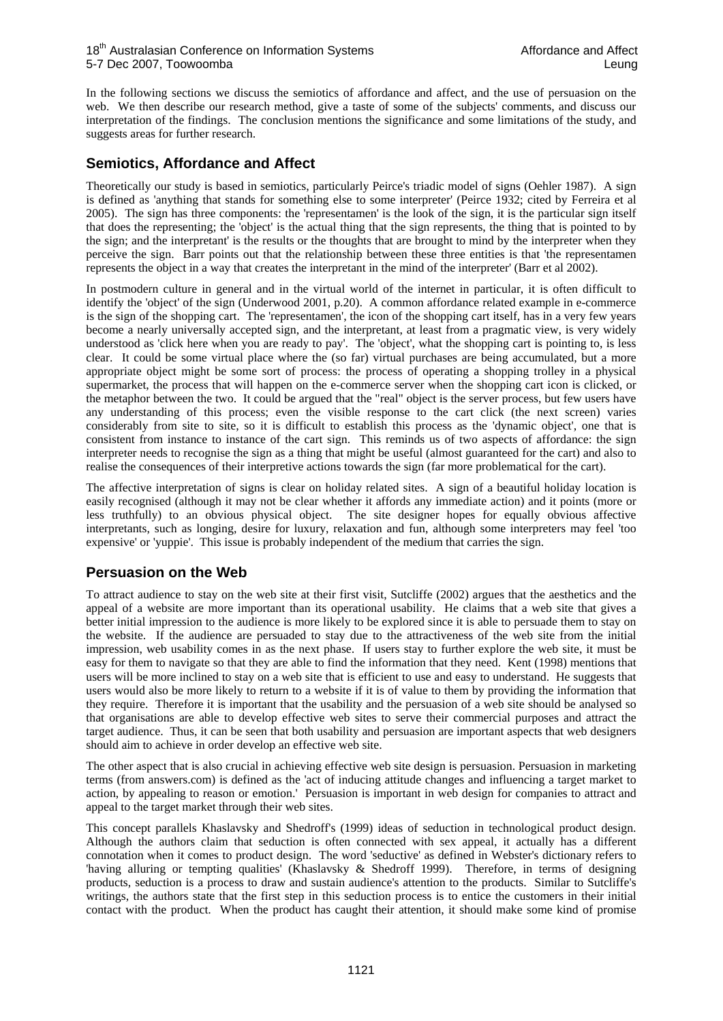In the following sections we discuss the semiotics of affordance and affect, and the use of persuasion on the web. We then describe our research method, give a taste of some of the subjects' comments, and discuss our interpretation of the findings. The conclusion mentions the significance and some limitations of the study, and suggests areas for further research.

## **Semiotics, Affordance and Affect**

Theoretically our study is based in semiotics, particularly Peirce's triadic model of signs (Oehler 1987). A sign is defined as 'anything that stands for something else to some interpreter' (Peirce 1932; cited by Ferreira et al 2005). The sign has three components: the 'representamen' is the look of the sign, it is the particular sign itself that does the representing; the 'object' is the actual thing that the sign represents, the thing that is pointed to by the sign; and the interpretant' is the results or the thoughts that are brought to mind by the interpreter when they perceive the sign. Barr points out that the relationship between these three entities is that 'the representamen represents the object in a way that creates the interpretant in the mind of the interpreter' (Barr et al 2002).

In postmodern culture in general and in the virtual world of the internet in particular, it is often difficult to identify the 'object' of the sign (Underwood 2001, p.20). A common affordance related example in e-commerce is the sign of the shopping cart. The 'representamen', the icon of the shopping cart itself, has in a very few years become a nearly universally accepted sign, and the interpretant, at least from a pragmatic view, is very widely understood as 'click here when you are ready to pay'. The 'object', what the shopping cart is pointing to, is less clear. It could be some virtual place where the (so far) virtual purchases are being accumulated, but a more appropriate object might be some sort of process: the process of operating a shopping trolley in a physical supermarket, the process that will happen on the e-commerce server when the shopping cart icon is clicked, or the metaphor between the two. It could be argued that the "real" object is the server process, but few users have any understanding of this process; even the visible response to the cart click (the next screen) varies considerably from site to site, so it is difficult to establish this process as the 'dynamic object', one that is consistent from instance to instance of the cart sign. This reminds us of two aspects of affordance: the sign interpreter needs to recognise the sign as a thing that might be useful (almost guaranteed for the cart) and also to realise the consequences of their interpretive actions towards the sign (far more problematical for the cart).

The affective interpretation of signs is clear on holiday related sites. A sign of a beautiful holiday location is easily recognised (although it may not be clear whether it affords any immediate action) and it points (more or less truthfully) to an obvious physical object. The site designer hopes for equally obvious affective interpretants, such as longing, desire for luxury, relaxation and fun, although some interpreters may feel 'too expensive' or 'yuppie'. This issue is probably independent of the medium that carries the sign.

## **Persuasion on the Web**

To attract audience to stay on the web site at their first visit, Sutcliffe (2002) argues that the aesthetics and the appeal of a website are more important than its operational usability. He claims that a web site that gives a better initial impression to the audience is more likely to be explored since it is able to persuade them to stay on the website. If the audience are persuaded to stay due to the attractiveness of the web site from the initial impression, web usability comes in as the next phase. If users stay to further explore the web site, it must be easy for them to navigate so that they are able to find the information that they need. Kent (1998) mentions that users will be more inclined to stay on a web site that is efficient to use and easy to understand. He suggests that users would also be more likely to return to a website if it is of value to them by providing the information that they require. Therefore it is important that the usability and the persuasion of a web site should be analysed so that organisations are able to develop effective web sites to serve their commercial purposes and attract the target audience. Thus, it can be seen that both usability and persuasion are important aspects that web designers should aim to achieve in order develop an effective web site.

The other aspect that is also crucial in achieving effective web site design is persuasion. Persuasion in marketing terms (from answers.com) is defined as the 'act of inducing attitude changes and influencing a target market to action, by appealing to reason or emotion.' Persuasion is important in web design for companies to attract and appeal to the target market through their web sites.

This concept parallels Khaslavsky and Shedroff's (1999) ideas of seduction in technological product design. Although the authors claim that seduction is often connected with sex appeal, it actually has a different connotation when it comes to product design. The word 'seductive' as defined in Webster's dictionary refers to 'having alluring or tempting qualities' (Khaslavsky & Shedroff 1999). Therefore, in terms of designing products, seduction is a process to draw and sustain audience's attention to the products. Similar to Sutcliffe's writings, the authors state that the first step in this seduction process is to entice the customers in their initial contact with the product. When the product has caught their attention, it should make some kind of promise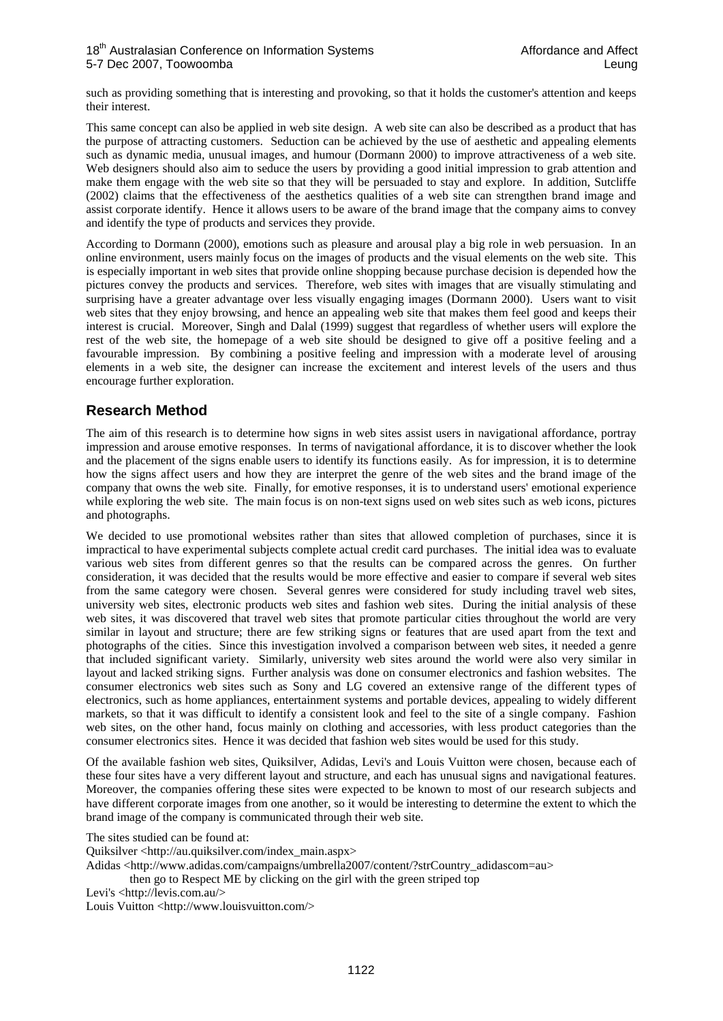such as providing something that is interesting and provoking, so that it holds the customer's attention and keeps their interest.

This same concept can also be applied in web site design. A web site can also be described as a product that has the purpose of attracting customers. Seduction can be achieved by the use of aesthetic and appealing elements such as dynamic media, unusual images, and humour (Dormann 2000) to improve attractiveness of a web site. Web designers should also aim to seduce the users by providing a good initial impression to grab attention and make them engage with the web site so that they will be persuaded to stay and explore. In addition, Sutcliffe (2002) claims that the effectiveness of the aesthetics qualities of a web site can strengthen brand image and assist corporate identify. Hence it allows users to be aware of the brand image that the company aims to convey and identify the type of products and services they provide.

According to Dormann (2000), emotions such as pleasure and arousal play a big role in web persuasion. In an online environment, users mainly focus on the images of products and the visual elements on the web site. This is especially important in web sites that provide online shopping because purchase decision is depended how the pictures convey the products and services. Therefore, web sites with images that are visually stimulating and surprising have a greater advantage over less visually engaging images (Dormann 2000). Users want to visit web sites that they enjoy browsing, and hence an appealing web site that makes them feel good and keeps their interest is crucial. Moreover, Singh and Dalal (1999) suggest that regardless of whether users will explore the rest of the web site, the homepage of a web site should be designed to give off a positive feeling and a favourable impression. By combining a positive feeling and impression with a moderate level of arousing elements in a web site, the designer can increase the excitement and interest levels of the users and thus encourage further exploration.

## **Research Method**

The aim of this research is to determine how signs in web sites assist users in navigational affordance, portray impression and arouse emotive responses. In terms of navigational affordance, it is to discover whether the look and the placement of the signs enable users to identify its functions easily. As for impression, it is to determine how the signs affect users and how they are interpret the genre of the web sites and the brand image of the company that owns the web site. Finally, for emotive responses, it is to understand users' emotional experience while exploring the web site. The main focus is on non-text signs used on web sites such as web icons, pictures and photographs.

We decided to use promotional websites rather than sites that allowed completion of purchases, since it is impractical to have experimental subjects complete actual credit card purchases. The initial idea was to evaluate various web sites from different genres so that the results can be compared across the genres. On further consideration, it was decided that the results would be more effective and easier to compare if several web sites from the same category were chosen. Several genres were considered for study including travel web sites, university web sites, electronic products web sites and fashion web sites. During the initial analysis of these web sites, it was discovered that travel web sites that promote particular cities throughout the world are very similar in layout and structure; there are few striking signs or features that are used apart from the text and photographs of the cities. Since this investigation involved a comparison between web sites, it needed a genre that included significant variety. Similarly, university web sites around the world were also very similar in layout and lacked striking signs. Further analysis was done on consumer electronics and fashion websites. The consumer electronics web sites such as Sony and LG covered an extensive range of the different types of electronics, such as home appliances, entertainment systems and portable devices, appealing to widely different markets, so that it was difficult to identify a consistent look and feel to the site of a single company. Fashion web sites, on the other hand, focus mainly on clothing and accessories, with less product categories than the consumer electronics sites. Hence it was decided that fashion web sites would be used for this study.

Of the available fashion web sites, Quiksilver, Adidas, Levi's and Louis Vuitton were chosen, because each of these four sites have a very different layout and structure, and each has unusual signs and navigational features. Moreover, the companies offering these sites were expected to be known to most of our research subjects and have different corporate images from one another, so it would be interesting to determine the extent to which the brand image of the company is communicated through their web site.

The sites studied can be found at:

Quiksilver <http://au.quiksilver.com/index\_main.aspx>

Adidas <http://www.adidas.com/campaigns/umbrella2007/content/?strCountry\_adidascom=au>

then go to Respect ME by clicking on the girl with the green striped top

Levi's <http://levis.com.au/>

Louis Vuitton <http://www.louisvuitton.com/>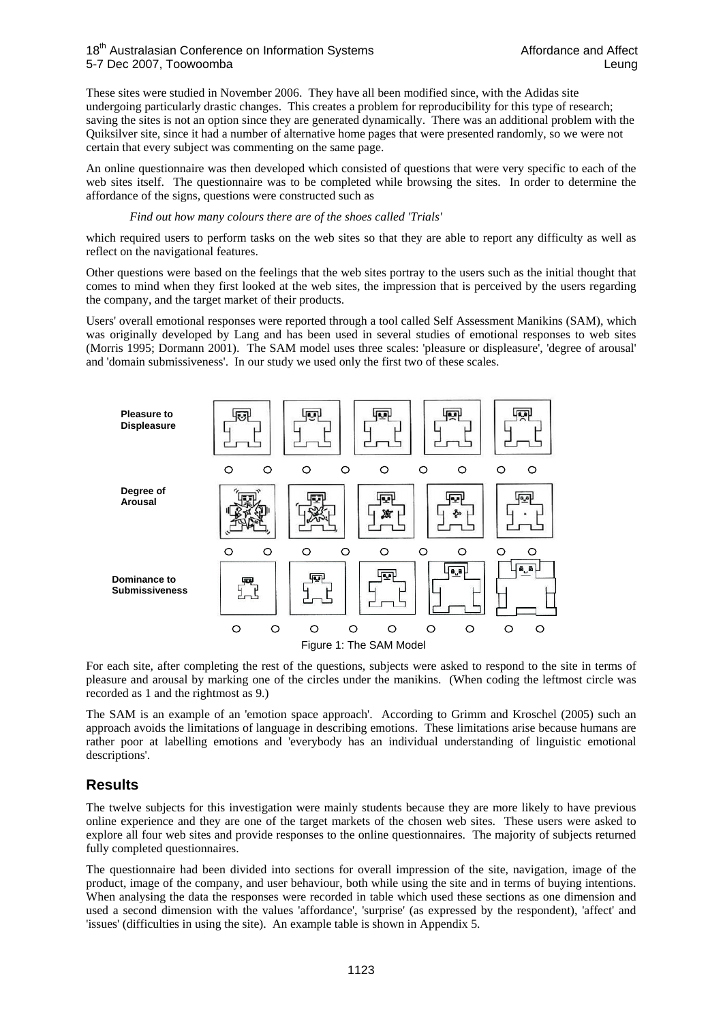#### 18<sup>th</sup> Australasian Conference on Information Systems **Affordance and Affect** Affordance and Affect 5-7 Dec 2007, Toowoomba Leung

These sites were studied in November 2006. They have all been modified since, with the Adidas site undergoing particularly drastic changes. This creates a problem for reproducibility for this type of research; saving the sites is not an option since they are generated dynamically. There was an additional problem with the Quiksilver site, since it had a number of alternative home pages that were presented randomly, so we were not certain that every subject was commenting on the same page.

An online questionnaire was then developed which consisted of questions that were very specific to each of the web sites itself. The questionnaire was to be completed while browsing the sites. In order to determine the affordance of the signs, questions were constructed such as

#### *Find out how many colours there are of the shoes called 'Trials'*

which required users to perform tasks on the web sites so that they are able to report any difficulty as well as reflect on the navigational features.

Other questions were based on the feelings that the web sites portray to the users such as the initial thought that comes to mind when they first looked at the web sites, the impression that is perceived by the users regarding the company, and the target market of their products.

Users' overall emotional responses were reported through a tool called Self Assessment Manikins (SAM), which was originally developed by Lang and has been used in several studies of emotional responses to web sites (Morris 1995; Dormann 2001). The SAM model uses three scales: 'pleasure or displeasure', 'degree of arousal' and 'domain submissiveness'. In our study we used only the first two of these scales.



For each site, after completing the rest of the questions, subjects were asked to respond to the site in terms of pleasure and arousal by marking one of the circles under the manikins. (When coding the leftmost circle was recorded as 1 and the rightmost as 9.)

The SAM is an example of an 'emotion space approach'. According to Grimm and Kroschel (2005) such an approach avoids the limitations of language in describing emotions. These limitations arise because humans are rather poor at labelling emotions and 'everybody has an individual understanding of linguistic emotional descriptions'.

## **Results**

The twelve subjects for this investigation were mainly students because they are more likely to have previous online experience and they are one of the target markets of the chosen web sites. These users were asked to explore all four web sites and provide responses to the online questionnaires. The majority of subjects returned fully completed questionnaires.

The questionnaire had been divided into sections for overall impression of the site, navigation, image of the product, image of the company, and user behaviour, both while using the site and in terms of buying intentions. When analysing the data the responses were recorded in table which used these sections as one dimension and used a second dimension with the values 'affordance', 'surprise' (as expressed by the respondent), 'affect' and 'issues' (difficulties in using the site). An example table is shown in Appendix 5.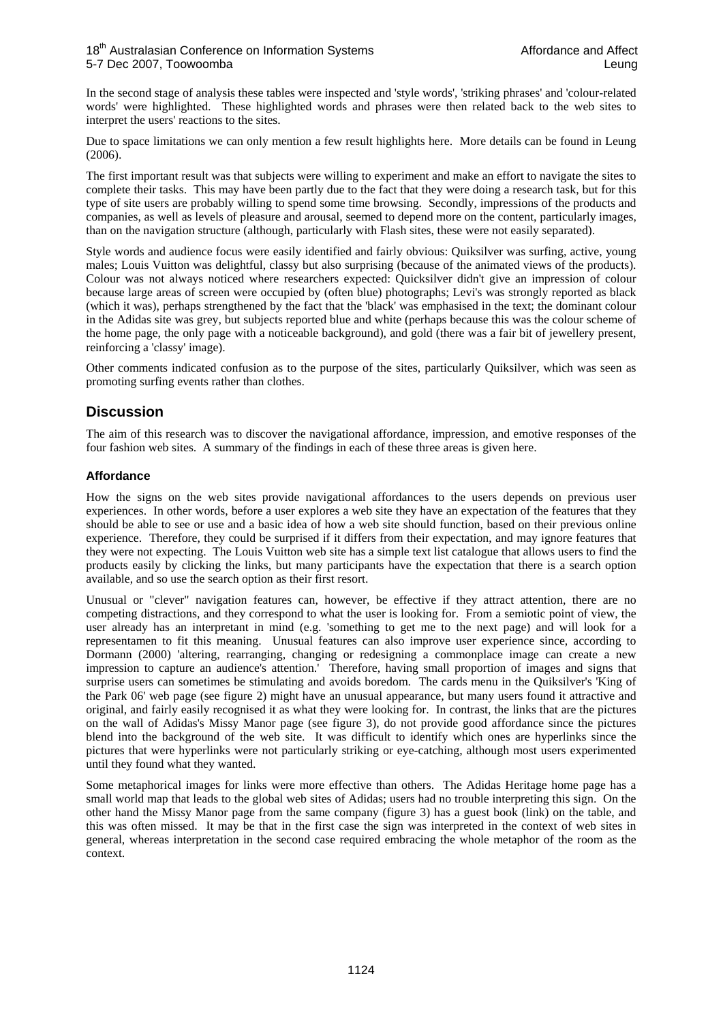In the second stage of analysis these tables were inspected and 'style words', 'striking phrases' and 'colour-related words' were highlighted. These highlighted words and phrases were then related back to the web sites to interpret the users' reactions to the sites.

Due to space limitations we can only mention a few result highlights here. More details can be found in Leung (2006).

The first important result was that subjects were willing to experiment and make an effort to navigate the sites to complete their tasks. This may have been partly due to the fact that they were doing a research task, but for this type of site users are probably willing to spend some time browsing. Secondly, impressions of the products and companies, as well as levels of pleasure and arousal, seemed to depend more on the content, particularly images, than on the navigation structure (although, particularly with Flash sites, these were not easily separated).

Style words and audience focus were easily identified and fairly obvious: Quiksilver was surfing, active, young males; Louis Vuitton was delightful, classy but also surprising (because of the animated views of the products). Colour was not always noticed where researchers expected: Quicksilver didn't give an impression of colour because large areas of screen were occupied by (often blue) photographs; Levi's was strongly reported as black (which it was), perhaps strengthened by the fact that the 'black' was emphasised in the text; the dominant colour in the Adidas site was grey, but subjects reported blue and white (perhaps because this was the colour scheme of the home page, the only page with a noticeable background), and gold (there was a fair bit of jewellery present, reinforcing a 'classy' image).

Other comments indicated confusion as to the purpose of the sites, particularly Quiksilver, which was seen as promoting surfing events rather than clothes.

## **Discussion**

The aim of this research was to discover the navigational affordance, impression, and emotive responses of the four fashion web sites. A summary of the findings in each of these three areas is given here.

### **Affordance**

How the signs on the web sites provide navigational affordances to the users depends on previous user experiences. In other words, before a user explores a web site they have an expectation of the features that they should be able to see or use and a basic idea of how a web site should function, based on their previous online experience. Therefore, they could be surprised if it differs from their expectation, and may ignore features that they were not expecting. The Louis Vuitton web site has a simple text list catalogue that allows users to find the products easily by clicking the links, but many participants have the expectation that there is a search option available, and so use the search option as their first resort.

Unusual or "clever" navigation features can, however, be effective if they attract attention, there are no competing distractions, and they correspond to what the user is looking for. From a semiotic point of view, the user already has an interpretant in mind (e.g. 'something to get me to the next page) and will look for a representamen to fit this meaning. Unusual features can also improve user experience since, according to Dormann (2000) 'altering, rearranging, changing or redesigning a commonplace image can create a new impression to capture an audience's attention.' Therefore, having small proportion of images and signs that surprise users can sometimes be stimulating and avoids boredom. The cards menu in the Quiksilver's 'King of the Park 06' web page (see figure 2) might have an unusual appearance, but many users found it attractive and original, and fairly easily recognised it as what they were looking for. In contrast, the links that are the pictures on the wall of Adidas's Missy Manor page (see figure 3), do not provide good affordance since the pictures blend into the background of the web site. It was difficult to identify which ones are hyperlinks since the pictures that were hyperlinks were not particularly striking or eye-catching, although most users experimented until they found what they wanted.

Some metaphorical images for links were more effective than others. The Adidas Heritage home page has a small world map that leads to the global web sites of Adidas; users had no trouble interpreting this sign. On the other hand the Missy Manor page from the same company (figure 3) has a guest book (link) on the table, and this was often missed. It may be that in the first case the sign was interpreted in the context of web sites in general, whereas interpretation in the second case required embracing the whole metaphor of the room as the context.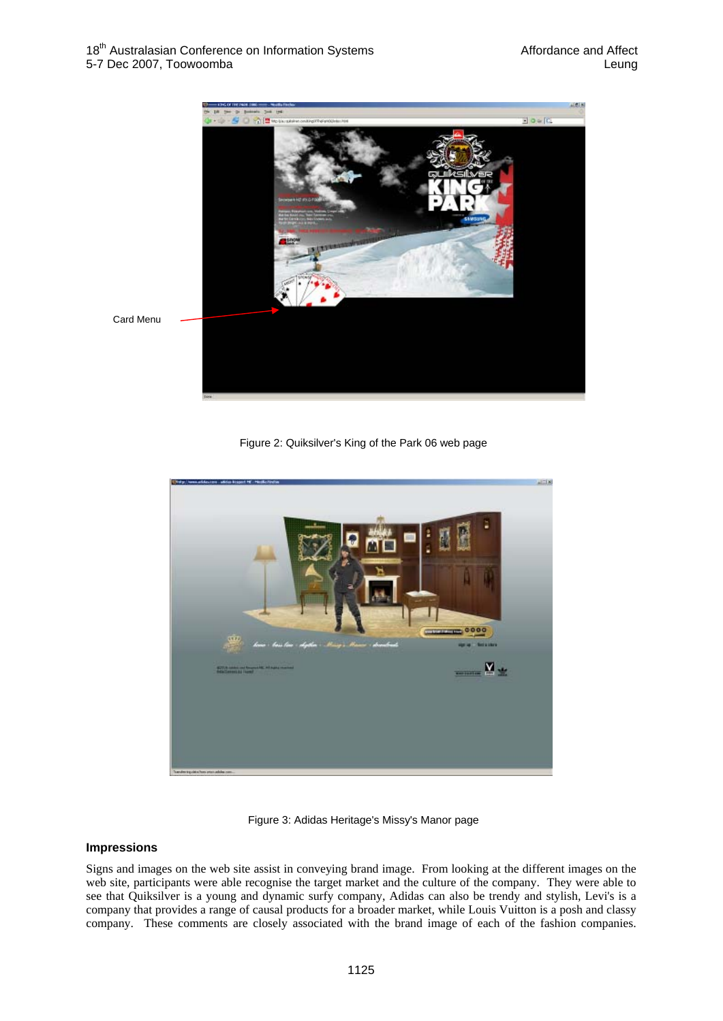

Figure 2: Quiksilver's King of the Park 06 web page





### **Impressions**

Signs and images on the web site assist in conveying brand image. From looking at the different images on the web site, participants were able recognise the target market and the culture of the company. They were able to see that Quiksilver is a young and dynamic surfy company, Adidas can also be trendy and stylish, Levi's is a company that provides a range of causal products for a broader market, while Louis Vuitton is a posh and classy company. These comments are closely associated with the brand image of each of the fashion companies.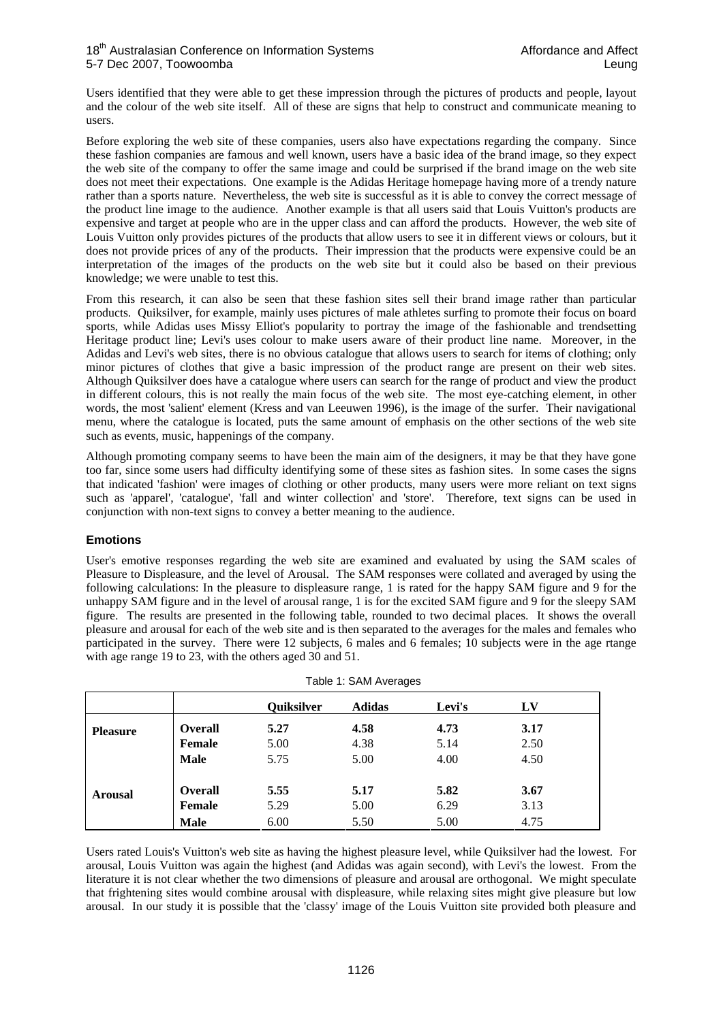Users identified that they were able to get these impression through the pictures of products and people, layout and the colour of the web site itself. All of these are signs that help to construct and communicate meaning to users.

Before exploring the web site of these companies, users also have expectations regarding the company. Since these fashion companies are famous and well known, users have a basic idea of the brand image, so they expect the web site of the company to offer the same image and could be surprised if the brand image on the web site does not meet their expectations. One example is the Adidas Heritage homepage having more of a trendy nature rather than a sports nature. Nevertheless, the web site is successful as it is able to convey the correct message of the product line image to the audience. Another example is that all users said that Louis Vuitton's products are expensive and target at people who are in the upper class and can afford the products. However, the web site of Louis Vuitton only provides pictures of the products that allow users to see it in different views or colours, but it does not provide prices of any of the products. Their impression that the products were expensive could be an interpretation of the images of the products on the web site but it could also be based on their previous knowledge; we were unable to test this.

From this research, it can also be seen that these fashion sites sell their brand image rather than particular products. Quiksilver, for example, mainly uses pictures of male athletes surfing to promote their focus on board sports, while Adidas uses Missy Elliot's popularity to portray the image of the fashionable and trendsetting Heritage product line; Levi's uses colour to make users aware of their product line name. Moreover, in the Adidas and Levi's web sites, there is no obvious catalogue that allows users to search for items of clothing; only minor pictures of clothes that give a basic impression of the product range are present on their web sites. Although Quiksilver does have a catalogue where users can search for the range of product and view the product in different colours, this is not really the main focus of the web site. The most eye-catching element, in other words, the most 'salient' element (Kress and van Leeuwen 1996), is the image of the surfer. Their navigational menu, where the catalogue is located, puts the same amount of emphasis on the other sections of the web site such as events, music, happenings of the company.

Although promoting company seems to have been the main aim of the designers, it may be that they have gone too far, since some users had difficulty identifying some of these sites as fashion sites. In some cases the signs that indicated 'fashion' were images of clothing or other products, many users were more reliant on text signs such as 'apparel', 'catalogue', 'fall and winter collection' and 'store'. Therefore, text signs can be used in conjunction with non-text signs to convey a better meaning to the audience.

### **Emotions**

User's emotive responses regarding the web site are examined and evaluated by using the SAM scales of Pleasure to Displeasure, and the level of Arousal. The SAM responses were collated and averaged by using the following calculations: In the pleasure to displeasure range, 1 is rated for the happy SAM figure and 9 for the unhappy SAM figure and in the level of arousal range, 1 is for the excited SAM figure and 9 for the sleepy SAM figure. The results are presented in the following table, rounded to two decimal places. It shows the overall pleasure and arousal for each of the web site and is then separated to the averages for the males and females who participated in the survey. There were 12 subjects, 6 males and 6 females; 10 subjects were in the age rtange with age range 19 to 23, with the others aged 30 and 51.

|                 | Table 1: SAM Averages |                   |               |        |      |  |  |
|-----------------|-----------------------|-------------------|---------------|--------|------|--|--|
|                 |                       | <b>Quiksilver</b> | <b>Adidas</b> | Levi's | LV   |  |  |
| <b>Pleasure</b> | <b>Overall</b>        | 5.27              | 4.58          | 4.73   | 3.17 |  |  |
|                 | <b>Female</b>         | 5.00              | 4.38          | 5.14   | 2.50 |  |  |
|                 | <b>Male</b>           | 5.75              | 5.00          | 4.00   | 4.50 |  |  |
| <b>Arousal</b>  | <b>Overall</b>        | 5.55              | 5.17          | 5.82   | 3.67 |  |  |
|                 | <b>Female</b>         | 5.29              | 5.00          | 6.29   | 3.13 |  |  |
|                 | <b>Male</b>           | 6.00              | 5.50          | 5.00   | 4.75 |  |  |

Users rated Louis's Vuitton's web site as having the highest pleasure level, while Quiksilver had the lowest. For arousal, Louis Vuitton was again the highest (and Adidas was again second), with Levi's the lowest. From the literature it is not clear whether the two dimensions of pleasure and arousal are orthogonal. We might speculate that frightening sites would combine arousal with displeasure, while relaxing sites might give pleasure but low arousal. In our study it is possible that the 'classy' image of the Louis Vuitton site provided both pleasure and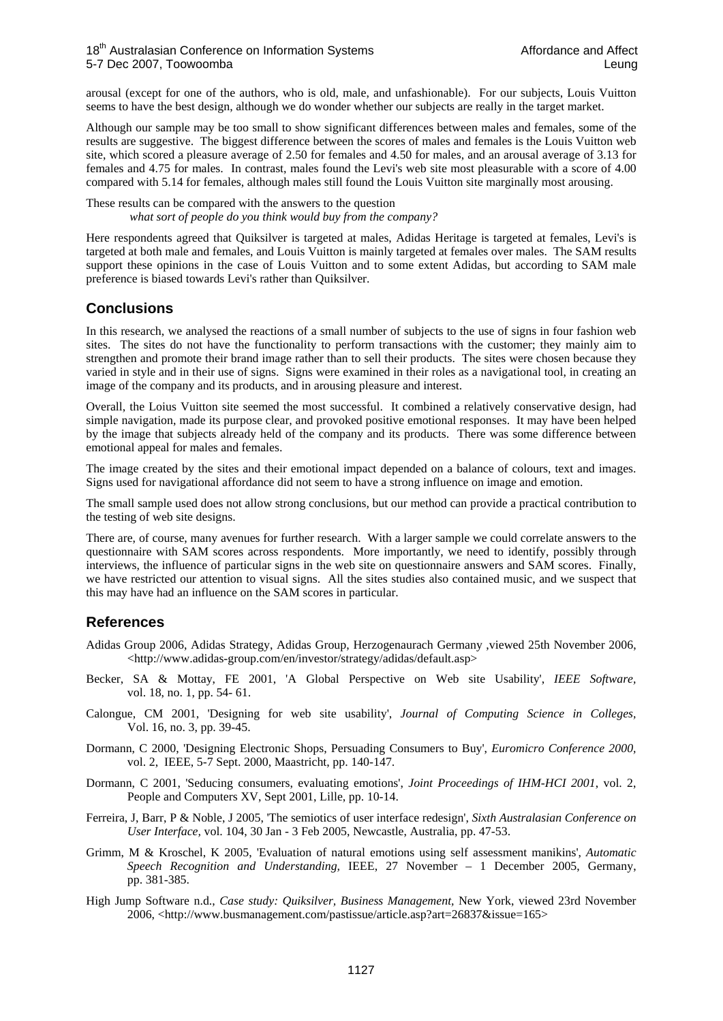#### 18<sup>th</sup> Australasian Conference on Information Systems **Affordance and Affect** Australasian Conference on Information Systems 5-7 Dec 2007, Toowoomba Leung

arousal (except for one of the authors, who is old, male, and unfashionable). For our subjects, Louis Vuitton seems to have the best design, although we do wonder whether our subjects are really in the target market.

Although our sample may be too small to show significant differences between males and females, some of the results are suggestive. The biggest difference between the scores of males and females is the Louis Vuitton web site, which scored a pleasure average of 2.50 for females and 4.50 for males, and an arousal average of 3.13 for females and 4.75 for males. In contrast, males found the Levi's web site most pleasurable with a score of 4.00 compared with 5.14 for females, although males still found the Louis Vuitton site marginally most arousing.

These results can be compared with the answers to the question *what sort of people do you think would buy from the company?* 

Here respondents agreed that Quiksilver is targeted at males, Adidas Heritage is targeted at females, Levi's is targeted at both male and females, and Louis Vuitton is mainly targeted at females over males. The SAM results support these opinions in the case of Louis Vuitton and to some extent Adidas, but according to SAM male preference is biased towards Levi's rather than Quiksilver.

## **Conclusions**

In this research, we analysed the reactions of a small number of subjects to the use of signs in four fashion web sites. The sites do not have the functionality to perform transactions with the customer; they mainly aim to strengthen and promote their brand image rather than to sell their products. The sites were chosen because they varied in style and in their use of signs. Signs were examined in their roles as a navigational tool, in creating an image of the company and its products, and in arousing pleasure and interest.

Overall, the Loius Vuitton site seemed the most successful. It combined a relatively conservative design, had simple navigation, made its purpose clear, and provoked positive emotional responses. It may have been helped by the image that subjects already held of the company and its products. There was some difference between emotional appeal for males and females.

The image created by the sites and their emotional impact depended on a balance of colours, text and images. Signs used for navigational affordance did not seem to have a strong influence on image and emotion.

The small sample used does not allow strong conclusions, but our method can provide a practical contribution to the testing of web site designs.

There are, of course, many avenues for further research. With a larger sample we could correlate answers to the questionnaire with SAM scores across respondents. More importantly, we need to identify, possibly through interviews, the influence of particular signs in the web site on questionnaire answers and SAM scores. Finally, we have restricted our attention to visual signs. All the sites studies also contained music, and we suspect that this may have had an influence on the SAM scores in particular.

## **References**

- Adidas Group 2006, Adidas Strategy, Adidas Group, Herzogenaurach Germany ,viewed 25th November 2006, <http://www.adidas-group.com/en/investor/strategy/adidas/default.asp>
- Becker, SA & Mottay, FE 2001, 'A Global Perspective on Web site Usability', *IEEE Software,* vol. 18, no. 1, pp. 54- 61.
- Calongue, CM 2001, 'Designing for web site usability', *Journal of Computing Science in Colleges,* Vol. 16, no. 3, pp. 39-45.
- Dormann, C 2000, 'Designing Electronic Shops, Persuading Consumers to Buy', *Euromicro Conference 2000,*  vol. 2, IEEE, 5-7 Sept. 2000, Maastricht, pp. 140-147.
- Dormann, C 2001, 'Seducing consumers, evaluating emotions', *Joint Proceedings of IHM-HCI 2001*, vol. 2, People and Computers XV, Sept 2001, Lille, pp. 10-14.
- Ferreira, J, Barr, P & Noble, J 2005, 'The semiotics of user interface redesign', *Sixth Australasian Conference on User Interface,* vol. 104, 30 Jan - 3 Feb 2005, Newcastle, Australia, pp. 47-53.
- Grimm, M & Kroschel, K 2005, 'Evaluation of natural emotions using self assessment manikins', *Automatic Speech Recognition and Understanding,* IEEE, 27 November – 1 December 2005, Germany, pp. 381-385.
- High Jump Software n.d., *Case study: Quiksilver, Business Management,* New York, viewed 23rd November 2006, <http://www.busmanagement.com/pastissue/article.asp?art=26837&issue=165>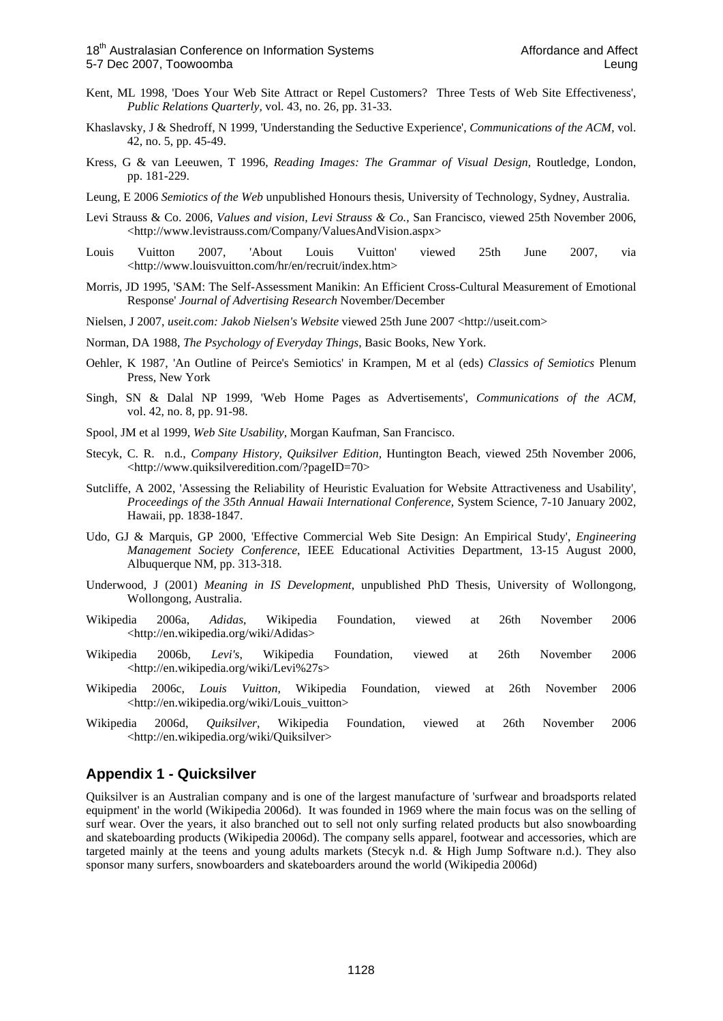- Kent, ML 1998, 'Does Your Web Site Attract or Repel Customers? Three Tests of Web Site Effectiveness', *Public Relations Quarterly,* vol. 43, no. 26, pp. 31-33.
- Khaslavsky, J & Shedroff, N 1999, 'Understanding the Seductive Experience', *Communications of the ACM,* vol. 42, no. 5, pp. 45-49.
- Kress, G & van Leeuwen, T 1996, *Reading Images: The Grammar of Visual Design,* Routledge, London, pp. 181-229.
- Leung, E 2006 *Semiotics of the Web* unpublished Honours thesis, University of Technology, Sydney, Australia.
- Levi Strauss & Co. 2006, *Values and vision, Levi Strauss & Co.,* San Francisco, viewed 25th November 2006, <http://www.levistrauss.com/Company/ValuesAndVision.aspx>
- Louis Vuitton 2007, 'About Louis Vuitton' viewed 25th June 2007, via <http://www.louisvuitton.com/hr/en/recruit/index.htm>
- Morris, JD 1995, 'SAM: The Self-Assessment Manikin: An Efficient Cross-Cultural Measurement of Emotional Response' *Journal of Advertising Research* November/December
- Nielsen, J 2007, *useit.com: Jakob Nielsen's Website* viewed 25th June 2007 <http://useit.com>
- Norman, DA 1988, *The Psychology of Everyday Things*, Basic Books, New York.
- Oehler, K 1987, 'An Outline of Peirce's Semiotics' in Krampen, M et al (eds) *Classics of Semiotics* Plenum Press, New York
- Singh, SN & Dalal NP 1999, 'Web Home Pages as Advertisements', *Communications of the ACM,* vol. 42, no. 8, pp. 91-98.
- Spool, JM et al 1999, *Web Site Usability,* Morgan Kaufman, San Francisco.
- Stecyk, C. R. n.d., *Company History, Quiksilver Edition,* Huntington Beach, viewed 25th November 2006, <http://www.quiksilveredition.com/?pageID=70>
- Sutcliffe, A 2002, 'Assessing the Reliability of Heuristic Evaluation for Website Attractiveness and Usability', *Proceedings of the 35th Annual Hawaii International Conference,* System Science, 7-10 January 2002, Hawaii, pp. 1838-1847.
- Udo, GJ & Marquis, GP 2000, 'Effective Commercial Web Site Design: An Empirical Study', *Engineering Management Society Conference*, IEEE Educational Activities Department, 13-15 August 2000, Albuquerque NM, pp. 313-318.
- Underwood, J (2001) *Meaning in IS Development*, unpublished PhD Thesis, University of Wollongong, Wollongong, Australia.
- Wikipedia 2006a, *Adidas*, Wikipedia Foundation, viewed at 26th November 2006 <http://en.wikipedia.org/wiki/Adidas>
- Wikipedia 2006b, *Levi's*, Wikipedia Foundation, viewed at 26th November 2006 <http://en.wikipedia.org/wiki/Levi%27s>
- Wikipedia 2006c, *Louis Vuitton*, Wikipedia Foundation, viewed at 26th November 2006 <http://en.wikipedia.org/wiki/Louis\_vuitton>
- Wikipedia 2006d, *Quiksilver*, Wikipedia Foundation, viewed at 26th November 2006 <http://en.wikipedia.org/wiki/Quiksilver>

#### **Appendix 1 - Quicksilver**

Quiksilver is an Australian company and is one of the largest manufacture of 'surfwear and broadsports related equipment' in the world (Wikipedia 2006d). It was founded in 1969 where the main focus was on the selling of surf wear. Over the years, it also branched out to sell not only surfing related products but also snowboarding and skateboarding products (Wikipedia 2006d). The company sells apparel, footwear and accessories, which are targeted mainly at the teens and young adults markets (Stecyk n.d. & High Jump Software n.d.). They also sponsor many surfers, snowboarders and skateboarders around the world (Wikipedia 2006d)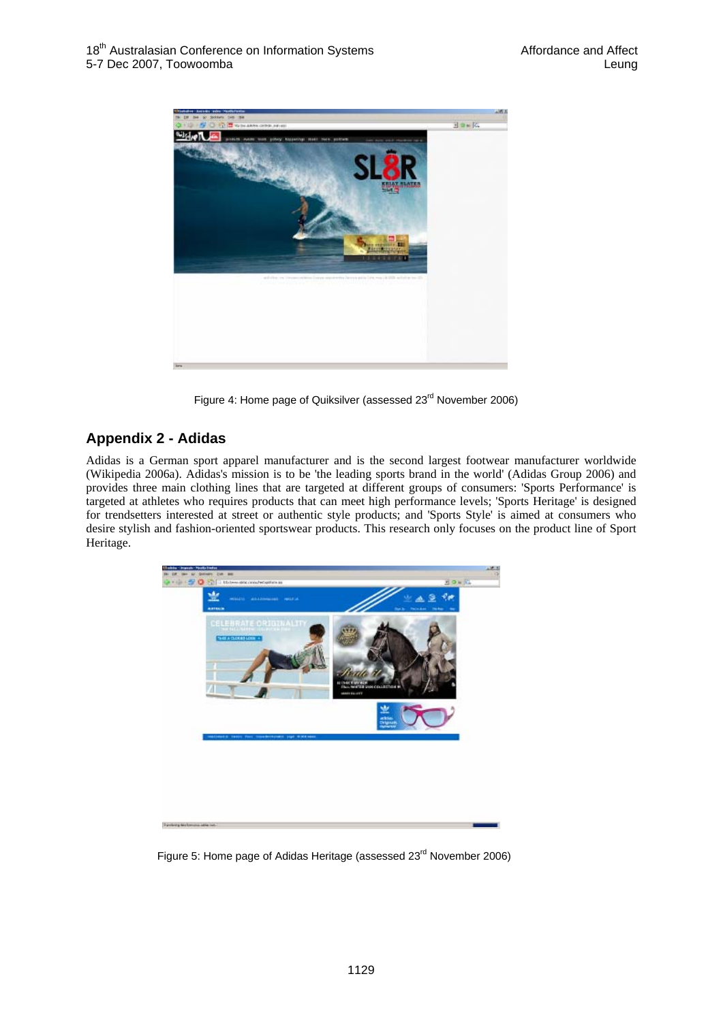

Figure 4: Home page of Quiksilver (assessed 23<sup>rd</sup> November 2006)

# **Appendix 2 - Adidas**

Adidas is a German sport apparel manufacturer and is the second largest footwear manufacturer worldwide (Wikipedia 2006a). Adidas's mission is to be 'the leading sports brand in the world' (Adidas Group 2006) and provides three main clothing lines that are targeted at different groups of consumers: 'Sports Performance' is targeted at athletes who requires products that can meet high performance levels; 'Sports Heritage' is designed for trendsetters interested at street or authentic style products; and 'Sports Style' is aimed at consumers who desire stylish and fashion-oriented sportswear products. This research only focuses on the product line of Sport Heritage.



Figure 5: Home page of Adidas Heritage (assessed 23<sup>rd</sup> November 2006)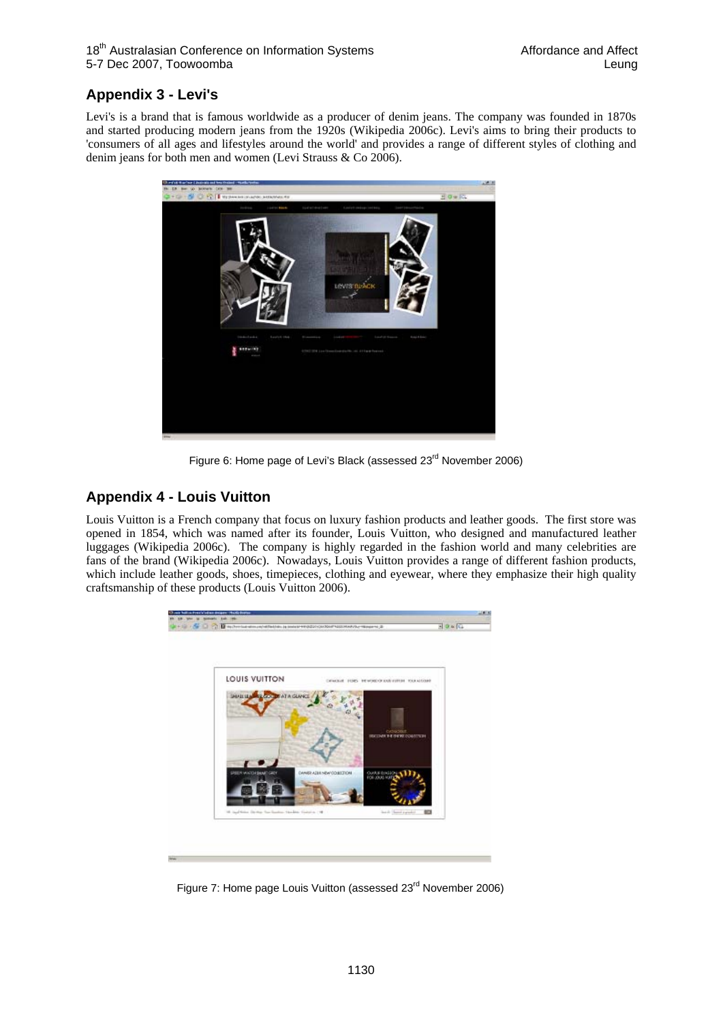# **Appendix 3 - Levi's**

Levi's is a brand that is famous worldwide as a producer of denim jeans. The company was founded in 1870s and started producing modern jeans from the 1920s (Wikipedia 2006c). Levi's aims to bring their products to 'consumers of all ages and lifestyles around the world' and provides a range of different styles of clothing and denim jeans for both men and women (Levi Strauss & Co 2006).



Figure 6: Home page of Levi's Black (assessed 23rd November 2006)

## **Appendix 4 - Louis Vuitton**

Louis Vuitton is a French company that focus on luxury fashion products and leather goods. The first store was opened in 1854, which was named after its founder, Louis Vuitton, who designed and manufactured leather luggages (Wikipedia 2006c). The company is highly regarded in the fashion world and many celebrities are fans of the brand (Wikipedia 2006c). Nowadays, Louis Vuitton provides a range of different fashion products, which include leather goods, shoes, timepieces, clothing and eyewear, where they emphasize their high quality craftsmanship of these products (Louis Vuitton 2006).



Figure 7: Home page Louis Vuitton (assessed 23<sup>rd</sup> November 2006)